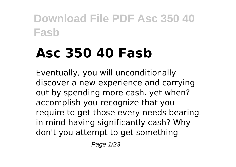# **Asc 350 40 Fasb**

Eventually, you will unconditionally discover a new experience and carrying out by spending more cash. yet when? accomplish you recognize that you require to get those every needs bearing in mind having significantly cash? Why don't you attempt to get something

Page 1/23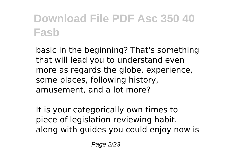basic in the beginning? That's something that will lead you to understand even more as regards the globe, experience, some places, following history, amusement, and a lot more?

It is your categorically own times to piece of legislation reviewing habit. along with guides you could enjoy now is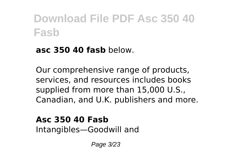#### **asc 350 40 fasb** below.

Our comprehensive range of products, services, and resources includes books supplied from more than 15,000 U.S., Canadian, and U.K. publishers and more.

**Asc 350 40 Fasb** Intangibles—Goodwill and

Page 3/23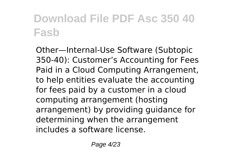Other—Internal-Use Software (Subtopic 350-40): Customer's Accounting for Fees Paid in a Cloud Computing Arrangement, to help entities evaluate the accounting for fees paid by a customer in a cloud computing arrangement (hosting arrangement) by providing guidance for determining when the arrangement includes a software license.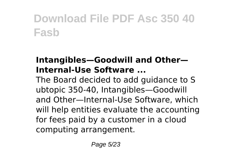#### **Intangibles—Goodwill and Other— Internal-Use Software ...**

The Board decided to add guidance to S ubtopic 350-40, Intangibles—Goodwill and Other—Internal-Use Software, which will help entities evaluate the accounting for fees paid by a customer in a cloud computing arrangement.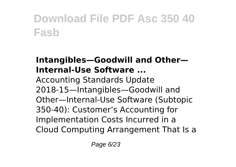#### **Intangibles—Goodwill and Other— Internal-Use Software ...**

Accounting Standards Update 2018-15—Intangibles—Goodwill and Other—Internal-Use Software (Subtopic 350-40): Customer's Accounting for Implementation Costs Incurred in a Cloud Computing Arrangement That Is a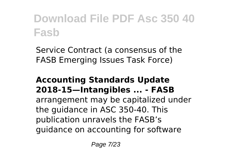Service Contract (a consensus of the FASB Emerging Issues Task Force)

#### **Accounting Standards Update 2018-15—Intangibles ... - FASB**

arrangement may be capitalized under the guidance in ASC 350-40. This publication unravels the FASB's guidance on accounting for software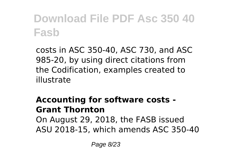costs in ASC 350-40, ASC 730, and ASC 985-20, by using direct citations from the Codification, examples created to illustrate

#### **Accounting for software costs - Grant Thornton** On August 29, 2018, the FASB issued ASU 2018-15, which amends ASC 350-40

Page 8/23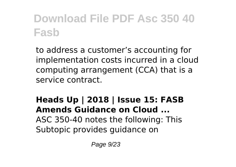to address a customer's accounting for implementation costs incurred in a cloud computing arrangement (CCA) that is a service contract.

### **Heads Up | 2018 | Issue 15: FASB Amends Guidance on Cloud ...** ASC 350-40 notes the following: This

Subtopic provides guidance on

Page 9/23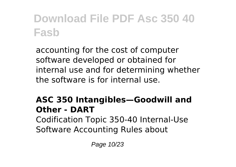accounting for the cost of computer software developed or obtained for internal use and for determining whether the software is for internal use.

#### **ASC 350 Intangibles—Goodwill and Other - DART** Codification Topic 350-40 Internal-Use Software Accounting Rules about

Page 10/23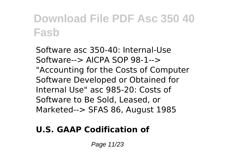Software asc 350-40: Internal-Use Software--> AICPA SOP 98-1--> "Accounting for the Costs of Computer Software Developed or Obtained for Internal Use" asc 985-20: Costs of Software to Be Sold, Leased, or Marketed--> SFAS 86, August 1985

#### **U.S. GAAP Codification of**

Page 11/23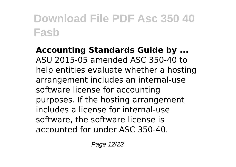**Accounting Standards Guide by ...** ASU 2015-05 amended ASC 350-40 to help entities evaluate whether a hosting arrangement includes an internal-use software license for accounting purposes. If the hosting arrangement includes a license for internal-use software, the software license is accounted for under ASC 350-40.

Page 12/23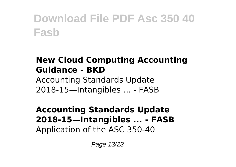#### **New Cloud Computing Accounting Guidance - BKD**

Accounting Standards Update 2018-15—Intangibles ... - FASB

#### **Accounting Standards Update 2018-15—Intangibles ... - FASB** Application of the ASC 350-40

Page 13/23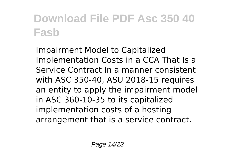Impairment Model to Capitalized Implementation Costs in a CCA That Is a Service Contract In a manner consistent with ASC 350-40, ASU 2018-15 requires an entity to apply the impairment model in ASC 360-10-35 to its capitalized implementation costs of a hosting arrangement that is a service contract.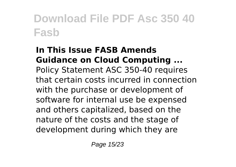#### **In This Issue FASB Amends Guidance on Cloud Computing ...** Policy Statement ASC 350-40 requires that certain costs incurred in connection with the purchase or development of software for internal use be expensed and others capitalized, based on the nature of the costs and the stage of development during which they are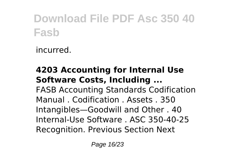incurred.

#### **4203 Accounting for Internal Use Software Costs, Including ...** FASB Accounting Standards Codification

Manual . Codification . Assets . 350 Intangibles—Goodwill and Other . 40 Internal-Use Software . ASC 350-40-25 Recognition. Previous Section Next

Page 16/23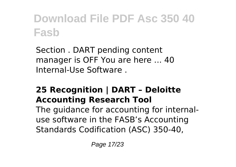Section . DART pending content manager is OFF You are here ... 40 Internal-Use Software .

#### **25 Recognition | DART – Deloitte Accounting Research Tool**

The guidance for accounting for internaluse software in the FASB's Accounting Standards Codification (ASC) 350-40,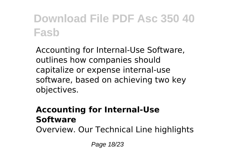Accounting for Internal-Use Software, outlines how companies should capitalize or expense internal-use software, based on achieving two key objectives.

#### **Accounting for Internal-Use Software**

Overview. Our Technical Line highlights

Page 18/23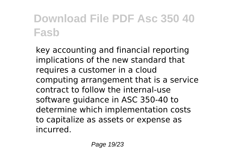key accounting and financial reporting implications of the new standard that requires a customer in a cloud computing arrangement that is a service contract to follow the internal-use software guidance in ASC 350-40 to determine which implementation costs to capitalize as assets or expense as incurred.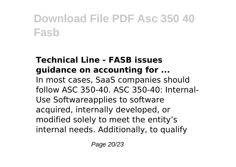#### **Technical Line - FASB issues guidance on accounting for ...**

In most cases, SaaS companies should follow ASC 350-40. ASC 350-40: Internal-Use Softwareapplies to software acquired, internally developed, or modified solely to meet the entity's internal needs. Additionally, to qualify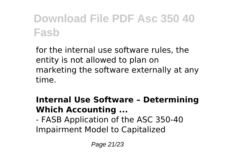for the internal use software rules, the entity is not allowed to plan on marketing the software externally at any time.

#### **Internal Use Software – Determining Which Accounting ...**

- FASB Application of the ASC 350-40 Impairment Model to Capitalized

Page 21/23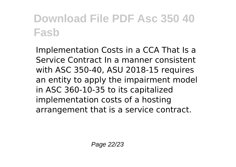Implementation Costs in a CCA That Is a Service Contract In a manner consistent with ASC 350-40, ASU 2018-15 requires an entity to apply the impairment model in ASC 360-10-35 to its capitalized implementation costs of a hosting arrangement that is a service contract.